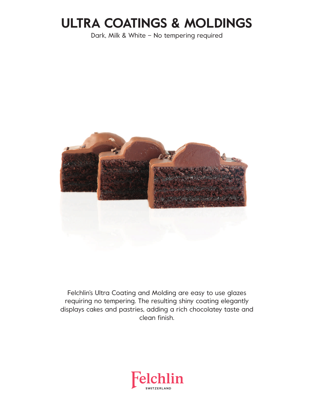# **ULTRA COATINGS & MOLDINGS**

Dark, Milk & White – No tempering required



Felchlin's Ultra Coating and Molding are easy to use glazes requiring no tempering. The resulting shiny coating elegantly displays cakes and pastries, adding a rich chocolatey taste and clean finish.

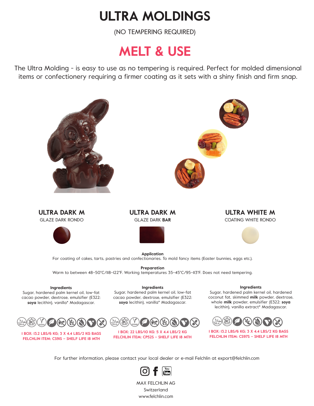### **ULTRA MOLDINGS**

(NO TEMPERING REQUIRED)

#### **MELT & USE**

The Ultra Molding - is easy to use as no tempering is required. Perfect for molded dimensional items or confectionery requiring a firmer coating as it sets with a shiny finish and firm snap.





MAX FELCHLIN AG Switzerland www.felchlin.com